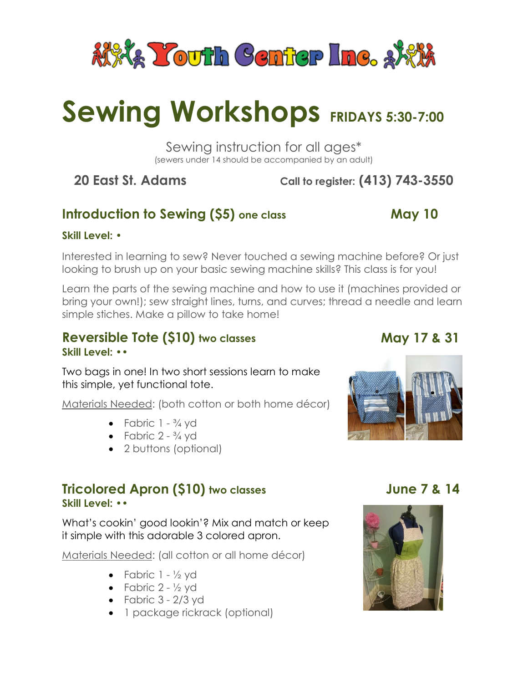

# **Sewing Workshops FRIDAYS 5:30-7:00**

Sewing instruction for all ages\* (sewers under 14 should be accompanied by an adult)

# **20 East St. Adams Call to register: (413) 743-3550**

# **Introduction to Sewing (\$5)** one class May 10

#### **Skill Level: •**

Interested in learning to sew? Never touched a sewing machine before? Or just looking to brush up on your basic sewing machine skills? This class is for you!

Learn the parts of the sewing machine and how to use it (machines provided or bring your own!); sew straight lines, turns, and curves; thread a needle and learn simple stiches. Make a pillow to take home!

#### **Reversible Tote (\$10) two classes Skill Level: ••**

Two bags in one! In two short sessions learn to make this simple, yet functional tote.

Materials Needed: (both cotton or both home décor)

- Fabric  $1 \frac{3}{4}$  yd
- Fabric  $2 \frac{3}{4}$  yd
- 2 buttons (optional)

#### **Tricolored Apron (\$10) two classes Skill Level: ••**

What's cookin' good lookin'? Mix and match or keep it simple with this adorable 3 colored apron.

Materials Needed: (all cotton or all home décor)

- Fabric  $1 \frac{1}{2}$  yd
- Fabric  $2 \frac{1}{2}$  yd
- $\bullet$  Fabric 3 2/3 yd
- 1 package rickrack (optional)

# **May 17 & 31**



## **June 7 & 14**